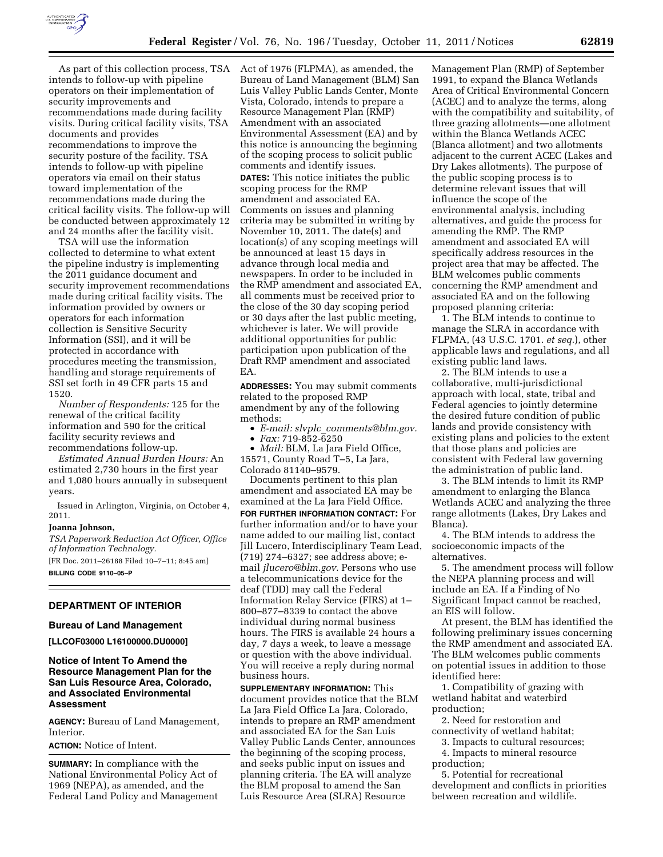

As part of this collection process, TSA intends to follow-up with pipeline operators on their implementation of security improvements and recommendations made during facility visits. During critical facility visits, TSA documents and provides recommendations to improve the security posture of the facility. TSA intends to follow-up with pipeline operators via email on their status toward implementation of the recommendations made during the critical facility visits. The follow-up will be conducted between approximately 12 and 24 months after the facility visit.

TSA will use the information collected to determine to what extent the pipeline industry is implementing the 2011 guidance document and security improvement recommendations made during critical facility visits. The information provided by owners or operators for each information collection is Sensitive Security Information (SSI), and it will be protected in accordance with procedures meeting the transmission, handling and storage requirements of SSI set forth in 49 CFR parts 15 and 1520.

*Number of Respondents:* 125 for the renewal of the critical facility information and 590 for the critical facility security reviews and recommendations follow-up.

*Estimated Annual Burden Hours:* An estimated 2,730 hours in the first year and 1,080 hours annually in subsequent years.

Issued in Arlington, Virginia, on October 4, 2011.

#### **Joanna Johnson,**

*TSA Paperwork Reduction Act Officer, Office of Information Technology.*  [FR Doc. 2011–26188 Filed 10–7–11; 8:45 am] **BILLING CODE 9110–05–P** 

# **DEPARTMENT OF INTERIOR**

#### **Bureau of Land Management**

**[LLCOF03000 L16100000.DU0000]** 

# **Notice of Intent To Amend the Resource Management Plan for the San Luis Resource Area, Colorado, and Associated Environmental Assessment**

**AGENCY:** Bureau of Land Management, **Interior** 

### **ACTION:** Notice of Intent.

**SUMMARY:** In compliance with the National Environmental Policy Act of 1969 (NEPA), as amended, and the Federal Land Policy and Management Act of 1976 (FLPMA), as amended, the Bureau of Land Management (BLM) San Luis Valley Public Lands Center, Monte Vista, Colorado, intends to prepare a Resource Management Plan (RMP) Amendment with an associated Environmental Assessment (EA) and by this notice is announcing the beginning of the scoping process to solicit public comments and identify issues. **DATES:** This notice initiates the public scoping process for the RMP amendment and associated EA. Comments on issues and planning criteria may be submitted in writing by November 10, 2011. The date(s) and location(s) of any scoping meetings will be announced at least 15 days in advance through local media and newspapers. In order to be included in the RMP amendment and associated EA, all comments must be received prior to the close of the 30 day scoping period or 30 days after the last public meeting, whichever is later. We will provide additional opportunities for public participation upon publication of the Draft RMP amendment and associated EA.

**ADDRESSES:** You may submit comments related to the proposed RMP amendment by any of the following methods:

- *E-mail: slvplc*\_*[comments@blm.gov.](mailto:slvplc_comments@blm.gov)*
- *Fax:* 719-852-6250

• *Mail:* BLM, La Jara Field Office, 15571, County Road T–5, La Jara, Colorado 81140–9579.

Documents pertinent to this plan amendment and associated EA may be examined at the La Jara Field Office.

**FOR FURTHER INFORMATION CONTACT:** For further information and/or to have your name added to our mailing list, contact Jill Lucero, Interdisciplinary Team Lead, (719) 274–6327; see address above; email *[jlucero@blm.gov.](mailto:jlucero@blm.gov)* Persons who use a telecommunications device for the deaf (TDD) may call the Federal Information Relay Service (FIRS) at 1– 800–877–8339 to contact the above individual during normal business hours. The FIRS is available 24 hours a day, 7 days a week, to leave a message or question with the above individual. You will receive a reply during normal business hours.

**SUPPLEMENTARY INFORMATION:** This document provides notice that the BLM La Jara Field Office La Jara, Colorado, intends to prepare an RMP amendment and associated EA for the San Luis Valley Public Lands Center, announces the beginning of the scoping process, and seeks public input on issues and planning criteria. The EA will analyze the BLM proposal to amend the San Luis Resource Area (SLRA) Resource

Management Plan (RMP) of September 1991, to expand the Blanca Wetlands Area of Critical Environmental Concern (ACEC) and to analyze the terms, along with the compatibility and suitability, of three grazing allotments—one allotment within the Blanca Wetlands ACEC (Blanca allotment) and two allotments adjacent to the current ACEC (Lakes and Dry Lakes allotments). The purpose of the public scoping process is to determine relevant issues that will influence the scope of the environmental analysis, including alternatives, and guide the process for amending the RMP. The RMP amendment and associated EA will specifically address resources in the project area that may be affected. The BLM welcomes public comments concerning the RMP amendment and associated EA and on the following proposed planning criteria:

1. The BLM intends to continue to manage the SLRA in accordance with FLPMA, (43 U.S.C. 1701. *et seq.*), other applicable laws and regulations, and all existing public land laws.

2. The BLM intends to use a collaborative, multi-jurisdictional approach with local, state, tribal and Federal agencies to jointly determine the desired future condition of public lands and provide consistency with existing plans and policies to the extent that those plans and policies are consistent with Federal law governing the administration of public land.

3. The BLM intends to limit its RMP amendment to enlarging the Blanca Wetlands ACEC and analyzing the three range allotments (Lakes, Dry Lakes and Blanca).

4. The BLM intends to address the socioeconomic impacts of the alternatives.

5. The amendment process will follow the NEPA planning process and will include an EA. If a Finding of No Significant Impact cannot be reached, an EIS will follow.

At present, the BLM has identified the following preliminary issues concerning the RMP amendment and associated EA. The BLM welcomes public comments on potential issues in addition to those identified here:

1. Compatibility of grazing with wetland habitat and waterbird production;

2. Need for restoration and connectivity of wetland habitat;

3. Impacts to cultural resources; 4. Impacts to mineral resource

production; 5. Potential for recreational

development and conflicts in priorities between recreation and wildlife.